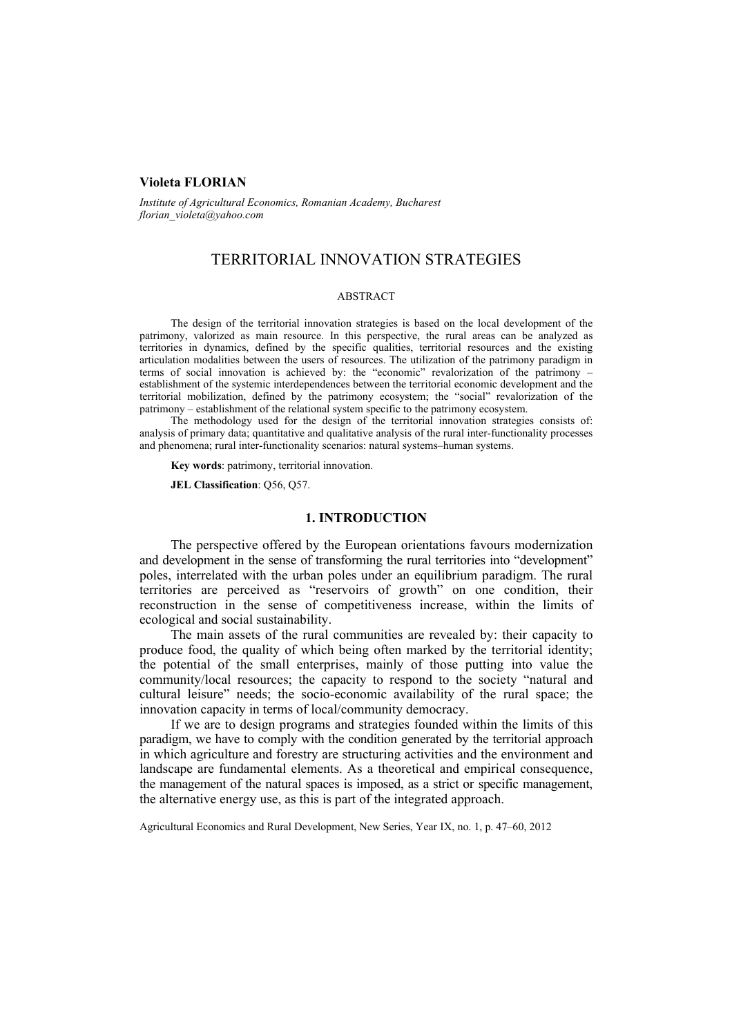# **Violeta FLORIAN**

*Institute of Agricultural Economics, Romanian Academy, Bucharest florian\_violeta@yahoo.com* 

# TERRITORIAL INNOVATION STRATEGIES

#### ABSTRACT

The design of the territorial innovation strategies is based on the local development of the patrimony, valorized as main resource. In this perspective, the rural areas can be analyzed as territories in dynamics, defined by the specific qualities, territorial resources and the existing articulation modalities between the users of resources. The utilization of the patrimony paradigm in terms of social innovation is achieved by: the "economic" revalorization of the patrimony – establishment of the systemic interdependences between the territorial economic development and the territorial mobilization, defined by the patrimony ecosystem; the "social" revalorization of the patrimony – establishment of the relational system specific to the patrimony ecosystem.

The methodology used for the design of the territorial innovation strategies consists of: analysis of primary data; quantitative and qualitative analysis of the rural inter-functionality processes and phenomena; rural inter-functionality scenarios: natural systems–human systems.

**Key words**: patrimony, territorial innovation.

**JEL Classification**: Q56, Q57.

## **1. INTRODUCTION**

The perspective offered by the European orientations favours modernization and development in the sense of transforming the rural territories into "development" poles, interrelated with the urban poles under an equilibrium paradigm. The rural territories are perceived as "reservoirs of growth" on one condition, their reconstruction in the sense of competitiveness increase, within the limits of ecological and social sustainability.

The main assets of the rural communities are revealed by: their capacity to produce food, the quality of which being often marked by the territorial identity; the potential of the small enterprises, mainly of those putting into value the community/local resources; the capacity to respond to the society "natural and cultural leisure" needs; the socio-economic availability of the rural space; the innovation capacity in terms of local/community democracy.

If we are to design programs and strategies founded within the limits of this paradigm, we have to comply with the condition generated by the territorial approach in which agriculture and forestry are structuring activities and the environment and landscape are fundamental elements. As a theoretical and empirical consequence, the management of the natural spaces is imposed, as a strict or specific management, the alternative energy use, as this is part of the integrated approach.

Agricultural Economics and Rural Development, New Series, Year IX, no. 1, p. 47–60, 2012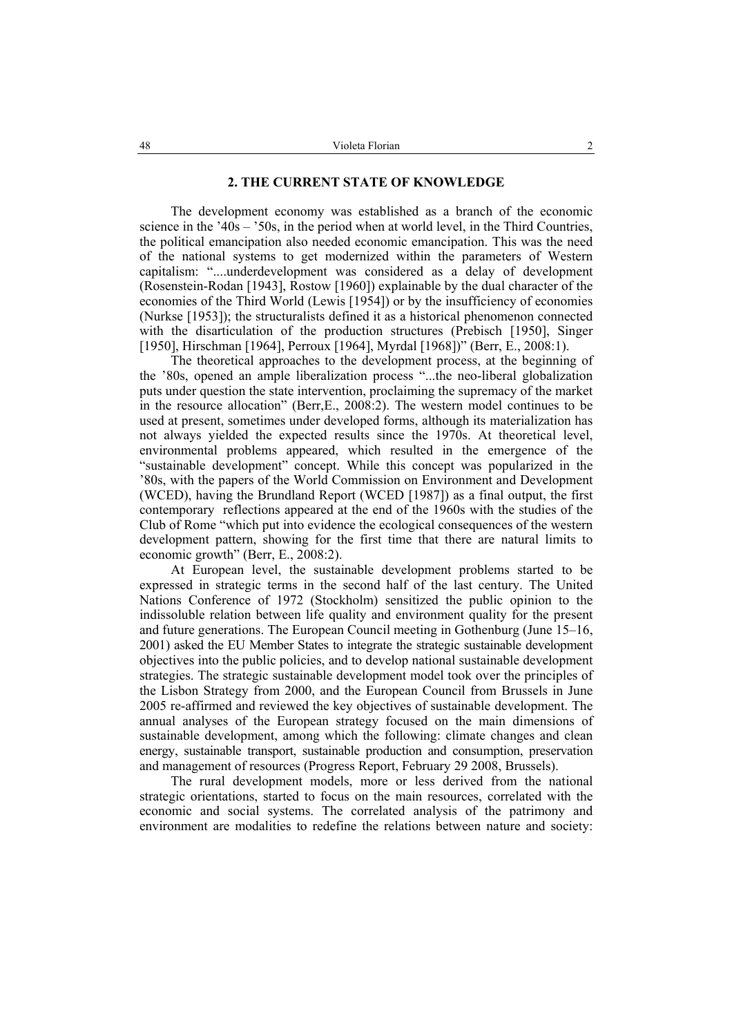#### **2. THE CURRENT STATE OF KNOWLEDGE**

The development economy was established as a branch of the economic science in the  $40s - 50s$ , in the period when at world level, in the Third Countries, the political emancipation also needed economic emancipation. This was the need of the national systems to get modernized within the parameters of Western capitalism: "....underdevelopment was considered as a delay of development (Rosenstein-Rodan [1943], Rostow [1960]) explainable by the dual character of the economies of the Third World (Lewis [1954]) or by the insufficiency of economies (Nurkse [1953]); the structuralists defined it as a historical phenomenon connected with the disarticulation of the production structures (Prebisch [1950], Singer [1950], Hirschman [1964], Perroux [1964], Myrdal [1968])" (Berr, E., 2008:1).

The theoretical approaches to the development process, at the beginning of the '80s, opened an ample liberalization process "...the neo-liberal globalization puts under question the state intervention, proclaiming the supremacy of the market in the resource allocation" (Berr,E., 2008:2). The western model continues to be used at present, sometimes under developed forms, although its materialization has not always yielded the expected results since the 1970s. At theoretical level, environmental problems appeared, which resulted in the emergence of the "sustainable development" concept. While this concept was popularized in the '80s, with the papers of the World Commission on Environment and Development (WCED), having the Brundland Report (WCED [1987]) as a final output, the first contemporary reflections appeared at the end of the 1960s with the studies of the Club of Rome "which put into evidence the ecological consequences of the western development pattern, showing for the first time that there are natural limits to economic growth" (Berr, E., 2008:2).

At European level, the sustainable development problems started to be expressed in strategic terms in the second half of the last century. The United Nations Conference of 1972 (Stockholm) sensitized the public opinion to the indissoluble relation between life quality and environment quality for the present and future generations. The European Council meeting in Gothenburg (June 15–16, 2001) asked the EU Member States to integrate the strategic sustainable development objectives into the public policies, and to develop national sustainable development strategies. The strategic sustainable development model took over the principles of the Lisbon Strategy from 2000, and the European Council from Brussels in June 2005 re-affirmed and reviewed the key objectives of sustainable development. The annual analyses of the European strategy focused on the main dimensions of sustainable development, among which the following: climate changes and clean energy, sustainable transport, sustainable production and consumption, preservation and management of resources (Progress Report, February 29 2008, Brussels).

The rural development models, more or less derived from the national strategic orientations, started to focus on the main resources, correlated with the economic and social systems. The correlated analysis of the patrimony and environment are modalities to redefine the relations between nature and society: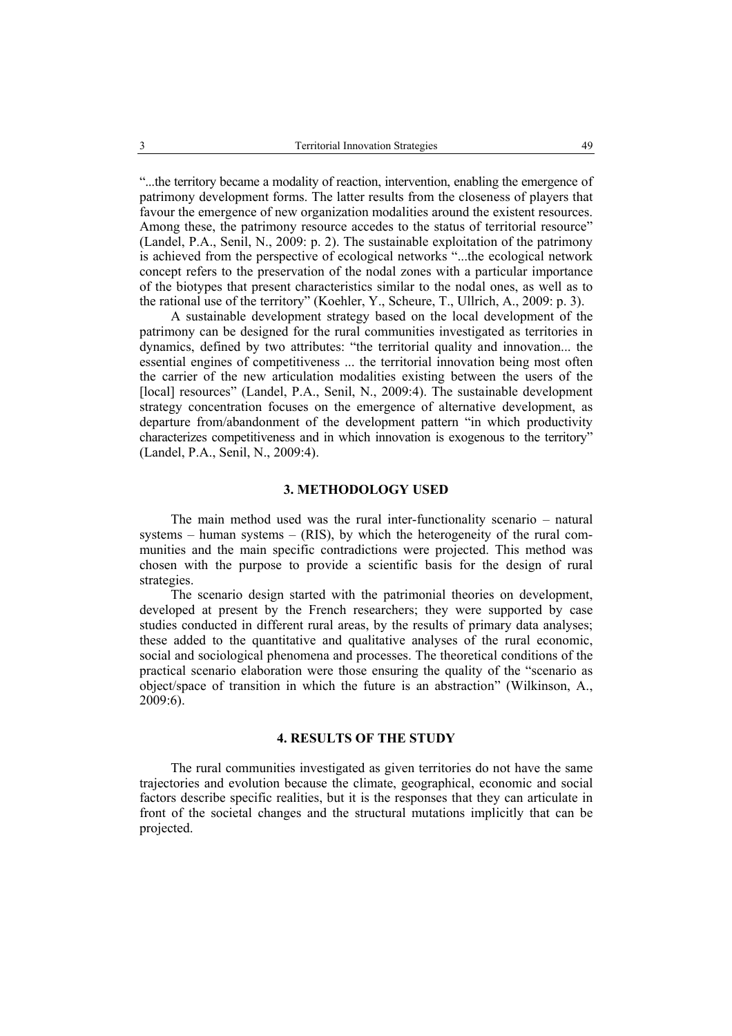"...the territory became a modality of reaction, intervention, enabling the emergence of patrimony development forms. The latter results from the closeness of players that favour the emergence of new organization modalities around the existent resources. Among these, the patrimony resource accedes to the status of territorial resource" (Landel, P.A., Senil, N., 2009: p. 2). The sustainable exploitation of the patrimony is achieved from the perspective of ecological networks "...the ecological network concept refers to the preservation of the nodal zones with a particular importance of the biotypes that present characteristics similar to the nodal ones, as well as to the rational use of the territory" (Koehler, Y., Scheure, T., Ullrich, A., 2009: p. 3).

A sustainable development strategy based on the local development of the patrimony can be designed for the rural communities investigated as territories in dynamics, defined by two attributes: "the territorial quality and innovation... the essential engines of competitiveness ... the territorial innovation being most often the carrier of the new articulation modalities existing between the users of the [local] resources" (Landel, P.A., Senil, N., 2009:4). The sustainable development strategy concentration focuses on the emergence of alternative development, as departure from/abandonment of the development pattern "in which productivity characterizes competitiveness and in which innovation is exogenous to the territory" (Landel, P.A., Senil, N., 2009:4).

## **3. METHODOLOGY USED**

The main method used was the rural inter-functionality scenario – natural systems – human systems – (RIS), by which the heterogeneity of the rural communities and the main specific contradictions were projected. This method was chosen with the purpose to provide a scientific basis for the design of rural strategies.

The scenario design started with the patrimonial theories on development, developed at present by the French researchers; they were supported by case studies conducted in different rural areas, by the results of primary data analyses; these added to the quantitative and qualitative analyses of the rural economic, social and sociological phenomena and processes. The theoretical conditions of the practical scenario elaboration were those ensuring the quality of the "scenario as object/space of transition in which the future is an abstraction" (Wilkinson, A., 2009:6).

## **4. RESULTS OF THE STUDY**

The rural communities investigated as given territories do not have the same trajectories and evolution because the climate, geographical, economic and social factors describe specific realities, but it is the responses that they can articulate in front of the societal changes and the structural mutations implicitly that can be projected.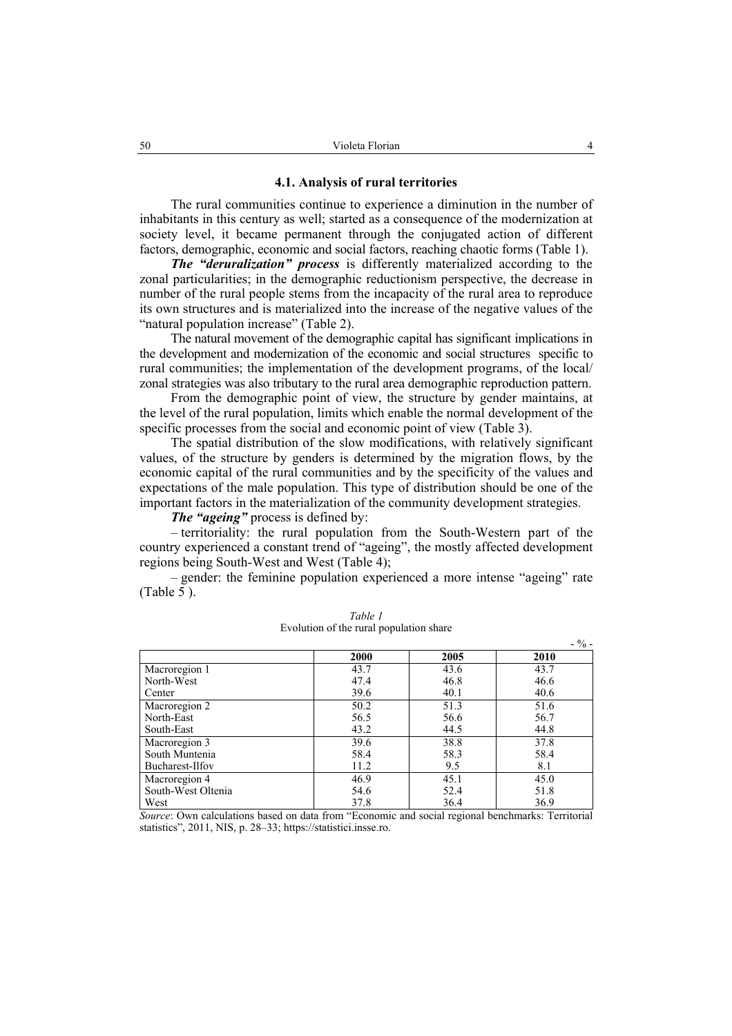#### **4.1. Analysis of rural territories**

The rural communities continue to experience a diminution in the number of inhabitants in this century as well; started as a consequence of the modernization at society level, it became permanent through the conjugated action of different factors, demographic, economic and social factors, reaching chaotic forms (Table 1).

*The "deruralization" process* is differently materialized according to the zonal particularities; in the demographic reductionism perspective, the decrease in number of the rural people stems from the incapacity of the rural area to reproduce its own structures and is materialized into the increase of the negative values of the "natural population increase" (Table 2).

The natural movement of the demographic capital has significant implications in the development and modernization of the economic and social structures specific to rural communities; the implementation of the development programs, of the local/ zonal strategies was also tributary to the rural area demographic reproduction pattern.

From the demographic point of view, the structure by gender maintains, at the level of the rural population, limits which enable the normal development of the specific processes from the social and economic point of view (Table 3).

The spatial distribution of the slow modifications, with relatively significant values, of the structure by genders is determined by the migration flows, by the economic capital of the rural communities and by the specificity of the values and expectations of the male population. This type of distribution should be one of the important factors in the materialization of the community development strategies.

*The "ageing"* process is defined by:

– territoriality: the rural population from the South-Western part of the country experienced a constant trend of "ageing", the mostly affected development regions being South-West and West (Table 4);

– gender: the feminine population experienced a more intense "ageing" rate (Table 5 ).

|                    |      |      | $-$ % – |
|--------------------|------|------|---------|
|                    | 2000 | 2005 | 2010    |
| Macroregion 1      | 43.7 | 43.6 | 43.7    |
| North-West         | 47.4 | 46.8 | 46.6    |
| Center             | 39.6 | 40.1 | 40.6    |
| Macroregion 2      | 50.2 | 51.3 | 51.6    |
| North-East         | 56.5 | 56.6 | 56.7    |
| South-East         | 43.2 | 44.5 | 44.8    |
| Macroregion 3      | 39.6 | 38.8 | 37.8    |
| South Muntenia     | 58.4 | 58.3 | 58.4    |
| Bucharest-Ilfov    | 11.2 | 9.5  | 8.1     |
| Macroregion 4      | 46.9 | 45.1 | 45.0    |
| South-West Oltenia | 54.6 | 52.4 | 51.8    |
| West               | 37.8 | 36.4 | 36.9    |

*Table 1* Evolution of the rural population share

*Source*: Own calculations based on data from "Economic and social regional benchmarks: Territorial statistics", 2011, NIS, p. 28–33; https://statistici.insse.ro.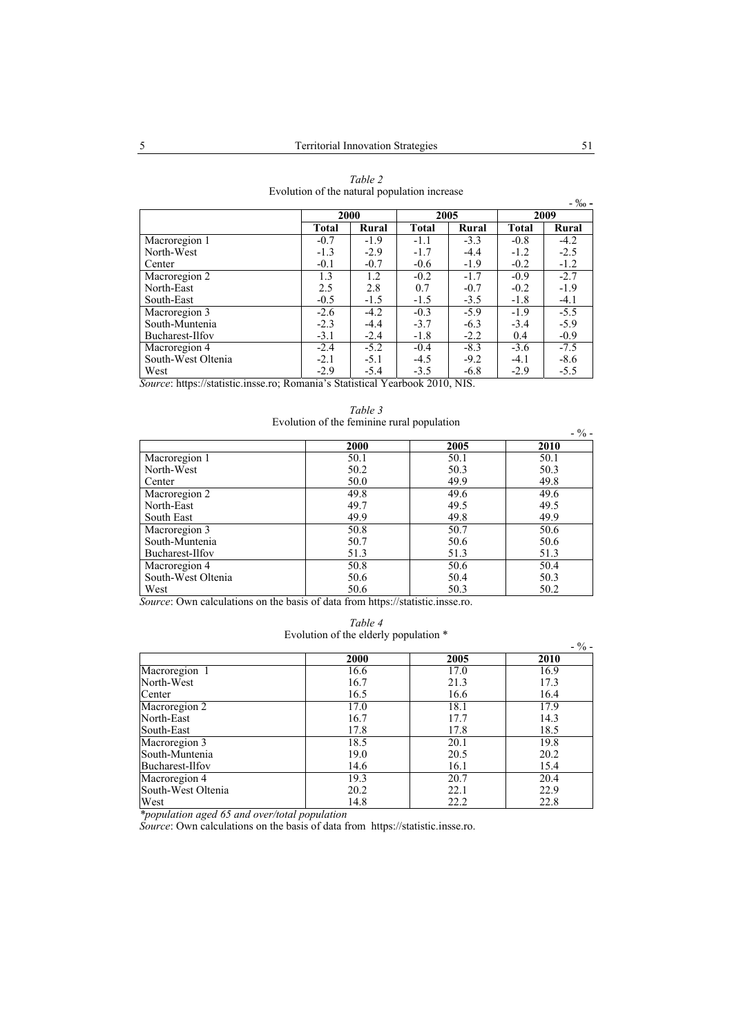|                    | Eventuon of the number population mercuse |        |              |        |              | $-$ % - |
|--------------------|-------------------------------------------|--------|--------------|--------|--------------|---------|
|                    |                                           | 2000   | 2005         |        | 2009         |         |
|                    | <b>Total</b>                              | Rural  | <b>Total</b> | Rural  | <b>Total</b> | Rural   |
| Macroregion 1      | $-0.7$                                    | $-1.9$ | $-1.1$       | $-3.3$ | $-0.8$       | $-4.2$  |
| North-West         | $-1.3$                                    | $-2.9$ | $-1.7$       | $-4.4$ | $-1.2$       | $-2.5$  |
| Center             | $-0.1$                                    | $-0.7$ | $-0.6$       | $-1.9$ | $-0.2$       | $-1.2$  |
| Macroregion 2      | 1.3                                       | 1.2    | $-0.2$       | $-1.7$ | $-0.9$       | $-2.7$  |
| North-East         | 2.5                                       | 2.8    | 0.7          | $-0.7$ | $-0.2$       | $-1.9$  |
| South-East         | $-0.5$                                    | $-1.5$ | $-1.5$       | $-3.5$ | $-1.8$       | $-4.1$  |
| Macroregion 3      | $-2.6$                                    | $-4.2$ | $-0.3$       | $-5.9$ | $-1.9$       | $-5.5$  |
| South-Muntenia     | $-2.3$                                    | $-4.4$ | $-3.7$       | $-6.3$ | $-3.4$       | $-5.9$  |
| Bucharest-Ilfov    | $-3.1$                                    | $-2.4$ | $-1.8$       | $-2.2$ | 0.4          | $-0.9$  |
| Macroregion 4      | $-2.4$                                    | $-5.2$ | $-0.4$       | $-8.3$ | $-3.6$       | $-7.5$  |
| South-West Oltenia | $-2.1$                                    | $-5.1$ | $-4.5$       | $-9.2$ | $-4.1$       | $-8.6$  |
| West               | $-2.9$                                    | $-5.4$ | $-3.5$       | $-6.8$ | $-2.9$       | $-5.5$  |

| Table 2                                      |
|----------------------------------------------|
| Evolution of the natural population increase |

*Source*: https://statistic.insse.ro; Romania's Statistical Yearbook 2010, NIS.

*Table 3*  Evolution of the feminine rural population

|                    | Eventuon of the remimine rural population |      | $-$ % – |
|--------------------|-------------------------------------------|------|---------|
|                    | 2000                                      | 2005 | 2010    |
| Macroregion 1      | 50.1                                      | 50.1 | 50.1    |
| North-West         | 50.2                                      | 50.3 | 50.3    |
| Center             | 50.0                                      | 49.9 | 49.8    |
| Macroregion 2      | 49.8                                      | 49.6 | 49.6    |
| North-East         | 49.7                                      | 49.5 | 49.5    |
| South East         | 49.9                                      | 49.8 | 49.9    |
| Macroregion 3      | 50.8                                      | 50.7 | 50.6    |
| South-Muntenia     | 50.7                                      | 50.6 | 50.6    |
| Bucharest-Ilfov    | 51.3                                      | 51.3 | 51.3    |
| Macroregion 4      | 50.8                                      | 50.6 | 50.4    |
| South-West Oltenia | 50.6                                      | 50.4 | 50.3    |
| West               | 50.6                                      | 50.3 | 50.2    |

*Source*: Own calculations on the basis of data from https://statistic.insse.ro.

*Table 4*  Evolution of the elderly population \*

|                    | $\sim$ , order or the crucity population |      | $-$ % – |
|--------------------|------------------------------------------|------|---------|
|                    | 2000                                     | 2005 | 2010    |
| Macroregion 1      | 16.6                                     | 17.0 | 16.9    |
| North-West         | 16.7                                     | 21.3 | 17.3    |
| Center             | 16.5                                     | 16.6 | 16.4    |
| Macroregion 2      | 17.0                                     | 18.1 | 17.9    |
| North-East         | 16.7                                     | 17.7 | 14.3    |
| South-East         | 17.8                                     | 17.8 | 18.5    |
| Macroregion 3      | 18.5                                     | 20.1 | 19.8    |
| South-Muntenia     | 19.0                                     | 20.5 | 20.2    |
| Bucharest-Ilfov    | 14.6                                     | 16.1 | 15.4    |
| Macroregion 4      | 19.3                                     | 20.7 | 20.4    |
| South-West Oltenia | 20.2                                     | 22.1 | 22.9    |
| West               | 14.8                                     | 22.2 | 22.8    |

*\*population aged 65 and over/total population* 

*Source*: Own calculations on the basis of data from https://statistic.insse.ro.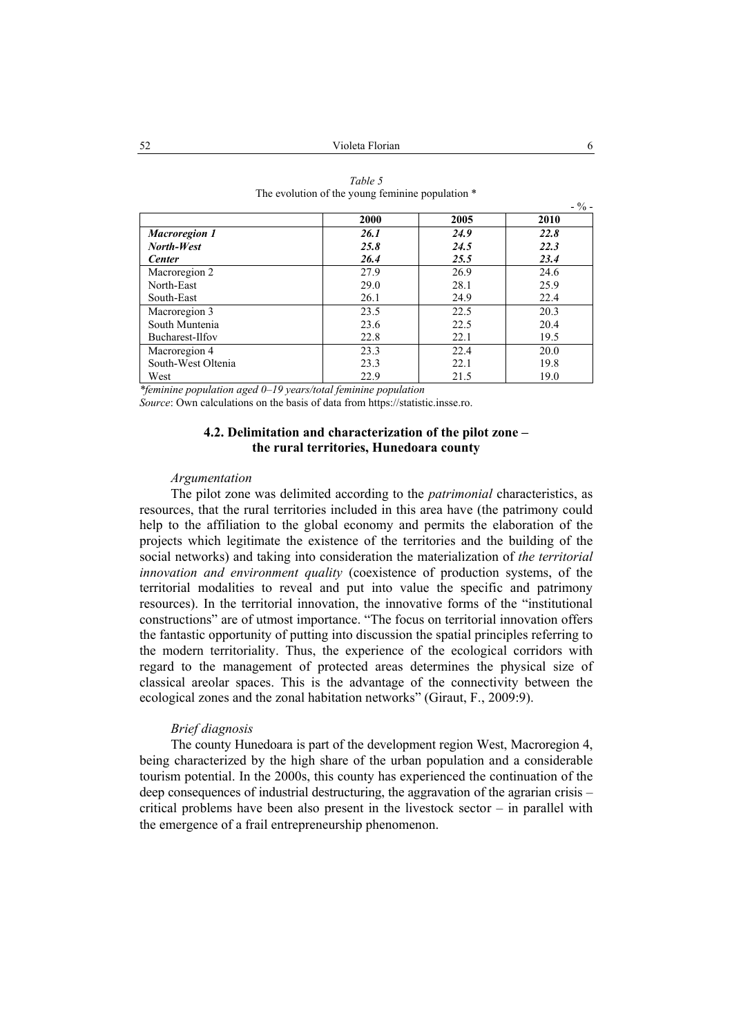|                      |      |      | - / U - |
|----------------------|------|------|---------|
|                      | 2000 | 2005 | 2010    |
| <b>Macroregion 1</b> | 26.1 | 24.9 | 22.8    |
| North-West           | 25.8 | 24.5 | 22.3    |
| <b>Center</b>        | 26.4 | 25.5 | 23.4    |
| Macroregion 2        | 27.9 | 26.9 | 24.6    |
| North-East           | 29.0 | 28.1 | 25.9    |
| South-East           | 26.1 | 24.9 | 22.4    |
| Macroregion 3        | 23.5 | 22.5 | 20.3    |
| South Muntenia       | 23.6 | 22.5 | 20.4    |
| Bucharest-Ilfov      | 22.8 | 22.1 | 19.5    |
| Macroregion 4        | 23.3 | 22.4 | 20.0    |
| South-West Oltenia   | 23.3 | 22.1 | 19.8    |
| West                 | 22.9 | 21.5 | 19.0    |

| Table 5                                          |
|--------------------------------------------------|
| The evolution of the young feminine population * |

*\*feminine population aged 0–19 years/total feminine population* 

*Source*: Own calculations on the basis of data from https://statistic.insse.ro.

# **4.2. Delimitation and characterization of the pilot zone – the rural territories, Hunedoara county**

## *Argumentation*

The pilot zone was delimited according to the *patrimonial* characteristics, as resources, that the rural territories included in this area have (the patrimony could help to the affiliation to the global economy and permits the elaboration of the projects which legitimate the existence of the territories and the building of the social networks) and taking into consideration the materialization of *the territorial innovation and environment quality* (coexistence of production systems, of the territorial modalities to reveal and put into value the specific and patrimony resources). In the territorial innovation, the innovative forms of the "institutional constructions" are of utmost importance. "The focus on territorial innovation offers the fantastic opportunity of putting into discussion the spatial principles referring to the modern territoriality. Thus, the experience of the ecological corridors with regard to the management of protected areas determines the physical size of classical areolar spaces. This is the advantage of the connectivity between the ecological zones and the zonal habitation networks" (Giraut, F., 2009:9).

#### *Brief diagnosis*

The county Hunedoara is part of the development region West, Macroregion 4, being characterized by the high share of the urban population and a considerable tourism potential. In the 2000s, this county has experienced the continuation of the deep consequences of industrial destructuring, the aggravation of the agrarian crisis – critical problems have been also present in the livestock sector – in parallel with the emergence of a frail entrepreneurship phenomenon.

 $- 0/2 -$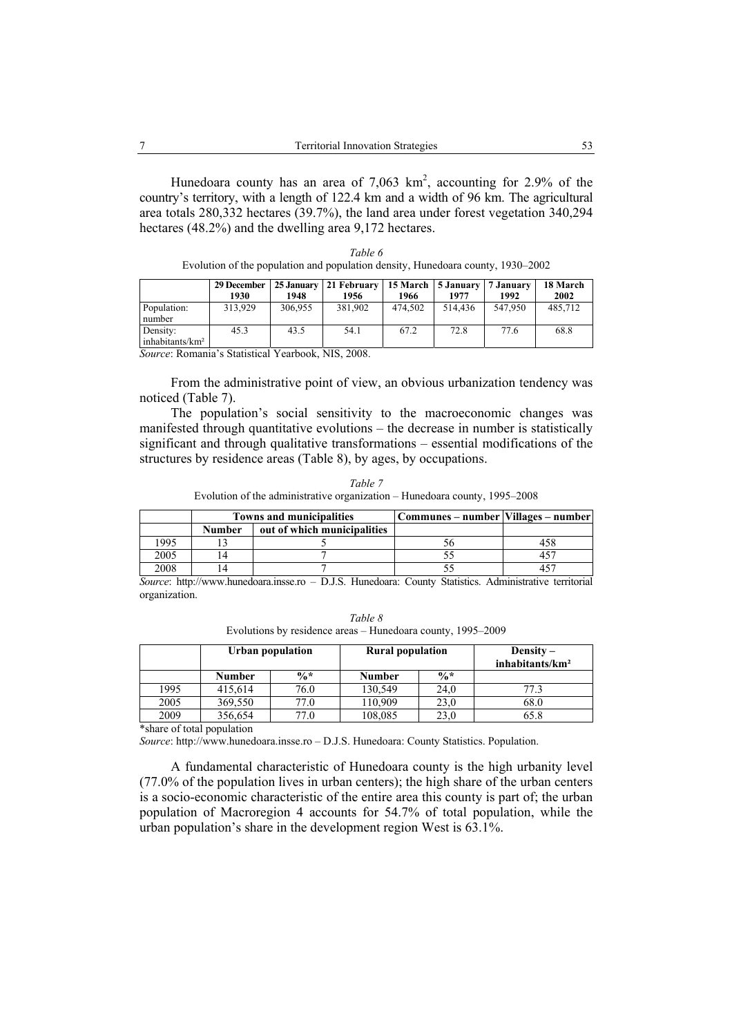Hunedoara county has an area of  $7,063 \text{ km}^2$ , accounting for 2.9% of the country's territory, with a length of 122.4 km and a width of 96 km. The agricultural area totals 280,332 hectares (39.7%), the land area under forest vegetation 340,294 hectares (48.2%) and the dwelling area 9,172 hectares.

|                                         | 29 December<br>1930 | 25 January<br>1948 | 21 February   15 March   5 January   7 January<br>1956 | 1966    | 1977    | 1992    | 18 March<br>2002 |
|-----------------------------------------|---------------------|--------------------|--------------------------------------------------------|---------|---------|---------|------------------|
| Population:<br>number                   | 313.929             | 306.955            | 381.902                                                | 474.502 | 514.436 | 547.950 | 485,712          |
| Density:<br>inhabitants/km <sup>2</sup> | 45.3                | 43.5               | 54.1                                                   | 67.2    | 72.8    | 77.6    | 68.8             |

*Table 6*  Evolution of the population and population density, Hunedoara county, 1930–2002

*Source*: Romania's Statistical Yearbook, NIS, 2008.

From the administrative point of view, an obvious urbanization tendency was noticed (Table 7).

The population's social sensitivity to the macroeconomic changes was manifested through quantitative evolutions – the decrease in number is statistically significant and through qualitative transformations – essential modifications of the structures by residence areas (Table 8), by ages, by occupations.

*Table 7*  Evolution of the administrative organization – Hunedoara county, 1995–2008

|      |               | <b>Towns and municipalities</b> | Communes – number   Villages – number |  |
|------|---------------|---------------------------------|---------------------------------------|--|
|      | <b>Number</b> | out of which municipalities     |                                       |  |
| 1995 |               |                                 |                                       |  |
| 2005 |               |                                 |                                       |  |
| 2008 |               |                                 |                                       |  |

*Source*: http://www.hunedoara.insse.ro – D.J.S. Hunedoara: County Statistics. Administrative territorial organization.

| Table 8                                                     |
|-------------------------------------------------------------|
| Evolutions by residence areas – Hunedoara county, 1995–2009 |

|      |               | Urban population | <b>Rural population</b> |                 | Density $-$<br>inhabitants/km <sup>2</sup> |
|------|---------------|------------------|-------------------------|-----------------|--------------------------------------------|
|      | <b>Number</b> | $\frac{0}{6}$ *  | <b>Number</b>           | $\frac{0}{6}$ * |                                            |
| 1995 | 415,614       | 76.0             | 130,549                 | 24,0            | 77 3                                       |
| 2005 | 369,550       | 77.0             | 110,909                 | 23,0            | 68.0                                       |
| 2009 | 356,654       | 77.0             | 108,085                 | 23,0            | 65.8                                       |

\*share of total population

*Source*: http://www.hunedoara.insse.ro – D.J.S. Hunedoara: County Statistics. Population.

A fundamental characteristic of Hunedoara county is the high urbanity level (77.0% of the population lives in urban centers); the high share of the urban centers is a socio-economic characteristic of the entire area this county is part of; the urban population of Macroregion 4 accounts for 54.7% of total population, while the urban population's share in the development region West is 63.1%.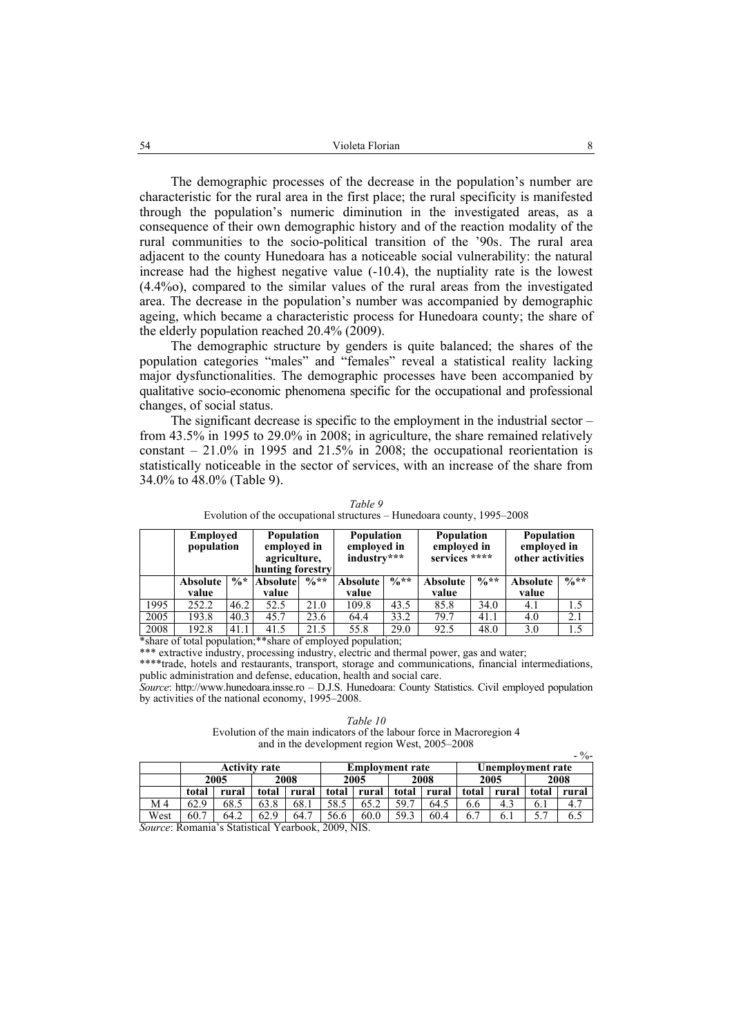The demographic processes of the decrease in the population's number are characteristic for the rural area in the first place; the rural specificity is manifested through the population's numeric diminution in the investigated areas, as a consequence of their own demographic history and of the reaction modality of the rural communities to the socio-political transition of the '90s. The rural area adjacent to the county Hunedoara has a noticeable social vulnerability: the natural increase had the highest negative value (-10.4), the nuptiality rate is the lowest (4.4%o), compared to the similar values of the rural areas from the investigated area. The decrease in the population's number was accompanied by demographic ageing, which became a characteristic process for Hunedoara county; the share of the elderly population reached 20.4% (2009).

The demographic structure by genders is quite balanced; the shares of the population categories "males" and "females" reveal a statistical reality lacking major dysfunctionalities. The demographic processes have been accompanied by qualitative socio-economic phenomena specific for the occupational and professional changes, of social status.

The significant decrease is specific to the employment in the industrial sector – from 43.5% in 1995 to 29.0% in 2008; in agriculture, the share remained relatively constant – 21.0% in 1995 and 21.5% in 2008; the occupational reorientation is statistically noticeable in the sector of services, with an increase of the share from 34.0% to 48.0% (Table 9).

|      | Employed<br>population |                 | <b>Population</b><br>employed in<br>agriculture,<br>hunting forestry |                  | Population<br>employed in<br>industry*** |                  | <b>Population</b><br>employed in<br>services **** |                  | <b>Population</b><br>employed in<br>other activities |                  |
|------|------------------------|-----------------|----------------------------------------------------------------------|------------------|------------------------------------------|------------------|---------------------------------------------------|------------------|------------------------------------------------------|------------------|
|      | <b>Absolute</b>        | $\frac{0}{6}$ * | <b>Absolute</b>                                                      | $\frac{0}{6}$ ** | <b>Absolute</b>                          | $\frac{0}{6}$ ** | <b>Absolute</b>                                   | $\frac{0}{2}$ ** | <b>Absolute</b>                                      | $\frac{0}{6}$ ** |
|      | value                  |                 | value                                                                |                  | value                                    |                  | value                                             |                  | value                                                |                  |
| 1995 | 252.2                  | 46.2            | 52.5                                                                 | 21.0             | 109.8                                    | 43.5             | 85.8                                              | 34.0             | 4.1                                                  | 1.5              |
| 2005 | 193.8                  | 40.3            | 45.7                                                                 | 23.6             | 64.4                                     | 33.2             | 79.7                                              | 41.1             | 4.0                                                  | 2.1              |
| 2008 | 192.8                  | 41.1            | 41.5                                                                 | 21.5             | 55.8                                     | 29.0             | 92.5                                              | 48.0             | 3.0                                                  | 1.5              |

*Table 9*  Evolution of the occupational structures – Hunedoara county, 1995–2008

\*share of total population;\*\*share of employed population; \*\*\* extractive industry, processing industry, electric and thermal power, gas and water;

\*\*\*\*trade, hotels and restaurants, transport, storage and communications, financial intermediations,

public administration and defense, education, health and social care. *Source*: http://www.hunedoara.insse.ro – D.J.S. Hunedoara: County Statistics. Civil employed population by activities of the national economy, 1995–2008.

*Table 10* 

Evolution of the main indicators of the labour force in Macroregion 4 and in the development region West, 2005–2008

|      |                      |       |       |                        |       |       |                   |       |       |       |       | $-$ %- |
|------|----------------------|-------|-------|------------------------|-------|-------|-------------------|-------|-------|-------|-------|--------|
|      | <b>Activity rate</b> |       |       | <b>Employment rate</b> |       |       | Unemployment rate |       |       |       |       |        |
|      |                      | 2005  |       | 2008                   |       | 2005  |                   | 2008  |       | 2005  |       | 2008   |
|      | total                | rural | total | rural                  | total | rural | total             | rural | total | rural | total | rural  |
| M 4  | 62.9                 | 68.5  | 63.8  | 68.                    | 58.5  | 65.2  | 59.7              | 64.5  | 6.6   | 4.3   | 0.1   |        |
| West | 60.7                 | 64.2  | 62.9  | 64.                    | 56.6  | 60.0  | 59.3              | 60.4  | 6.    | 6.1   |       | 0.J    |

*Source*: Romania's Statistical Yearbook, 2009, NIS.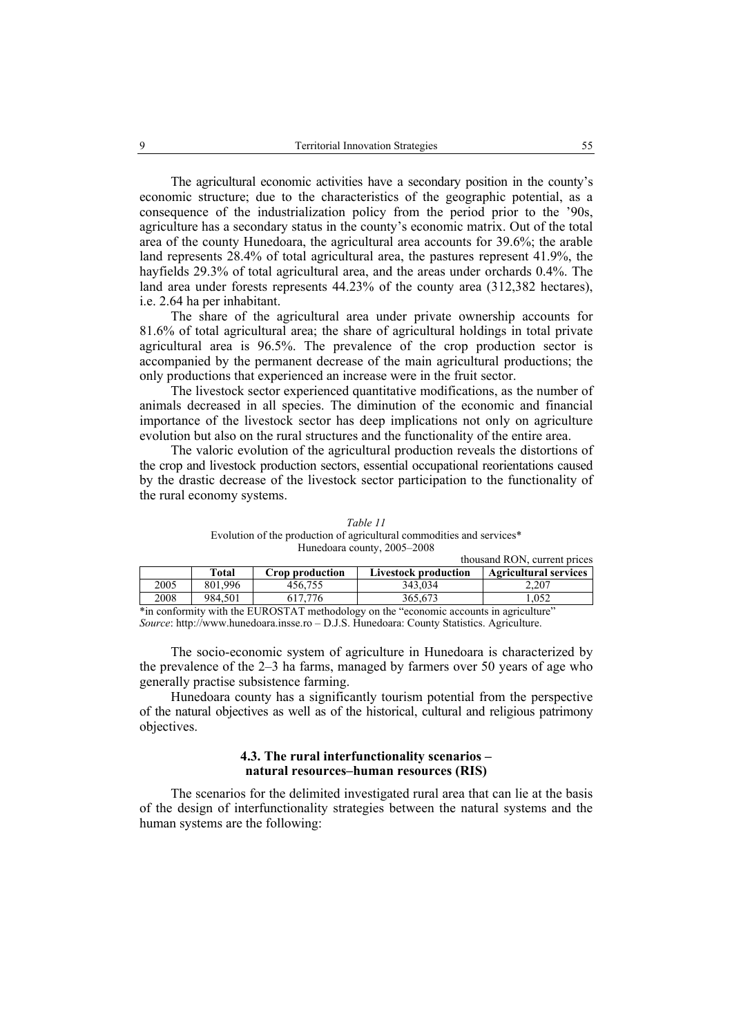The agricultural economic activities have a secondary position in the county's economic structure; due to the characteristics of the geographic potential, as a consequence of the industrialization policy from the period prior to the '90s, agriculture has a secondary status in the county's economic matrix. Out of the total area of the county Hunedoara, the agricultural area accounts for 39.6%; the arable land represents 28.4% of total agricultural area, the pastures represent 41.9%, the hayfields 29.3% of total agricultural area, and the areas under orchards 0.4%. The land area under forests represents 44.23% of the county area (312,382 hectares), i.e. 2.64 ha per inhabitant.

The share of the agricultural area under private ownership accounts for 81.6% of total agricultural area; the share of agricultural holdings in total private agricultural area is 96.5%. The prevalence of the crop production sector is accompanied by the permanent decrease of the main agricultural productions; the only productions that experienced an increase were in the fruit sector.

The livestock sector experienced quantitative modifications, as the number of animals decreased in all species. The diminution of the economic and financial importance of the livestock sector has deep implications not only on agriculture evolution but also on the rural structures and the functionality of the entire area.

The valoric evolution of the agricultural production reveals the distortions of the crop and livestock production sectors, essential occupational reorientations caused by the drastic decrease of the livestock sector participation to the functionality of the rural economy systems.

| thousand RON, current prices |         |                        |                             |                              |  |  |
|------------------------------|---------|------------------------|-----------------------------|------------------------------|--|--|
|                              | Total   | <b>Crop production</b> | <b>Livestock production</b> | <b>Agricultural services</b> |  |  |
| 2005                         | 801.996 | 456.755                | 343.034                     | 2.207                        |  |  |
| 2008                         | 984.501 | 617.776                | 365.673                     | .052                         |  |  |

*Table 11*  Evolution of the production of agricultural commodities and services\* Hunedoara county, 2005–2008

\*in conformity with the EUROSTAT methodology on the "economic accounts in agriculture" *Source*: http://www.hunedoara.insse.ro – D.J.S. Hunedoara: County Statistics. Agriculture.

The socio-economic system of agriculture in Hunedoara is characterized by the prevalence of the 2–3 ha farms, managed by farmers over 50 years of age who generally practise subsistence farming.

Hunedoara county has a significantly tourism potential from the perspective of the natural objectives as well as of the historical, cultural and religious patrimony objectives.

## **4.3. The rural interfunctionality scenarios – natural resources–human resources (RIS)**

The scenarios for the delimited investigated rural area that can lie at the basis of the design of interfunctionality strategies between the natural systems and the human systems are the following: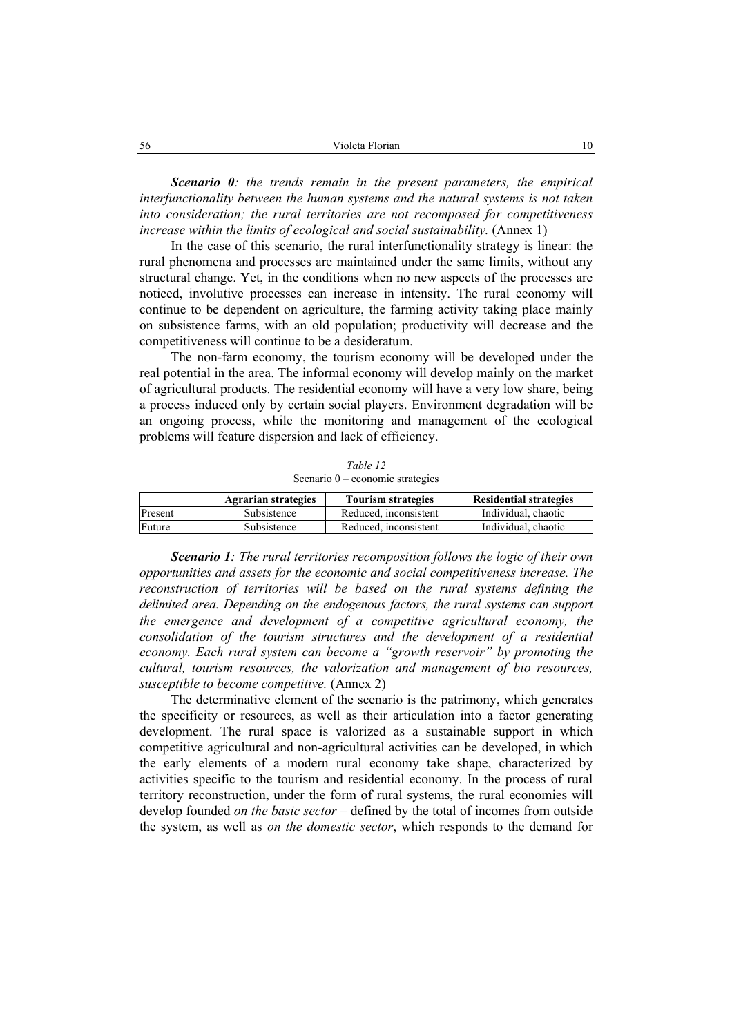*Scenario 0: the trends remain in the present parameters, the empirical interfunctionality between the human systems and the natural systems is not taken into consideration; the rural territories are not recomposed for competitiveness increase within the limits of ecological and social sustainability.* (Annex 1)

In the case of this scenario, the rural interfunctionality strategy is linear: the rural phenomena and processes are maintained under the same limits, without any structural change. Yet, in the conditions when no new aspects of the processes are noticed, involutive processes can increase in intensity. The rural economy will continue to be dependent on agriculture, the farming activity taking place mainly on subsistence farms, with an old population; productivity will decrease and the competitiveness will continue to be a desideratum.

The non-farm economy, the tourism economy will be developed under the real potential in the area. The informal economy will develop mainly on the market of agricultural products. The residential economy will have a very low share, being a process induced only by certain social players. Environment degradation will be an ongoing process, while the monitoring and management of the ecological problems will feature dispersion and lack of efficiency.

*Table 12*  Scenario 0 – economic strategies

|         | <b>Agrarian strategies</b> | <b>Tourism strategies</b> | <b>Residential strategies</b> |
|---------|----------------------------|---------------------------|-------------------------------|
| Present | Subsistence                | Reduced, inconsistent     | Individual, chaotic           |
| Future  | Subsistence                | Reduced, inconsistent     | Individual, chaotic           |

*Scenario 1: The rural territories recomposition follows the logic of their own opportunities and assets for the economic and social competitiveness increase. The reconstruction of territories will be based on the rural systems defining the delimited area. Depending on the endogenous factors, the rural systems can support the emergence and development of a competitive agricultural economy, the consolidation of the tourism structures and the development of a residential economy. Each rural system can become a "growth reservoir" by promoting the cultural, tourism resources, the valorization and management of bio resources, susceptible to become competitive.* (Annex 2)

The determinative element of the scenario is the patrimony, which generates the specificity or resources, as well as their articulation into a factor generating development. The rural space is valorized as a sustainable support in which competitive agricultural and non-agricultural activities can be developed, in which the early elements of a modern rural economy take shape, characterized by activities specific to the tourism and residential economy. In the process of rural territory reconstruction, under the form of rural systems, the rural economies will develop founded *on the basic sector* – defined by the total of incomes from outside the system, as well as *on the domestic sector*, which responds to the demand for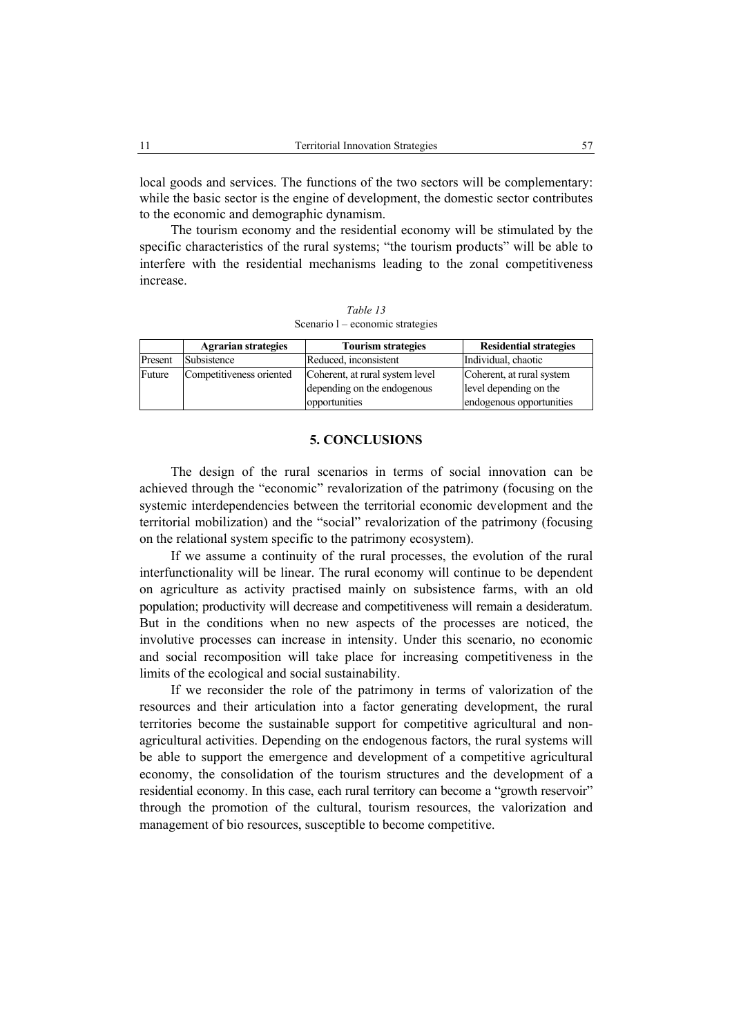local goods and services. The functions of the two sectors will be complementary: while the basic sector is the engine of development, the domestic sector contributes to the economic and demographic dynamism.

The tourism economy and the residential economy will be stimulated by the specific characteristics of the rural systems; "the tourism products" will be able to interfere with the residential mechanisms leading to the zonal competitiveness increase.

*Table 13*  Scenario l – economic strategies

|         | <b>Agrarian strategies</b> | <b>Tourism strategies</b>                                                       | <b>Residential strategies</b>                                                   |
|---------|----------------------------|---------------------------------------------------------------------------------|---------------------------------------------------------------------------------|
| Present | Subsistence                | Reduced, inconsistent                                                           | Individual, chaotic                                                             |
| Future  | Competitiveness oriented   | Coherent, at rural system level<br>depending on the endogenous<br>opportunities | Coherent, at rural system<br>level depending on the<br>endogenous opportunities |

# **5. CONCLUSIONS**

The design of the rural scenarios in terms of social innovation can be achieved through the "economic" revalorization of the patrimony (focusing on the systemic interdependencies between the territorial economic development and the territorial mobilization) and the "social" revalorization of the patrimony (focusing on the relational system specific to the patrimony ecosystem).

If we assume a continuity of the rural processes, the evolution of the rural interfunctionality will be linear. The rural economy will continue to be dependent on agriculture as activity practised mainly on subsistence farms, with an old population; productivity will decrease and competitiveness will remain a desideratum. But in the conditions when no new aspects of the processes are noticed, the involutive processes can increase in intensity. Under this scenario, no economic and social recomposition will take place for increasing competitiveness in the limits of the ecological and social sustainability.

If we reconsider the role of the patrimony in terms of valorization of the resources and their articulation into a factor generating development, the rural territories become the sustainable support for competitive agricultural and nonagricultural activities. Depending on the endogenous factors, the rural systems will be able to support the emergence and development of a competitive agricultural economy, the consolidation of the tourism structures and the development of a residential economy. In this case, each rural territory can become a "growth reservoir" through the promotion of the cultural, tourism resources, the valorization and management of bio resources, susceptible to become competitive.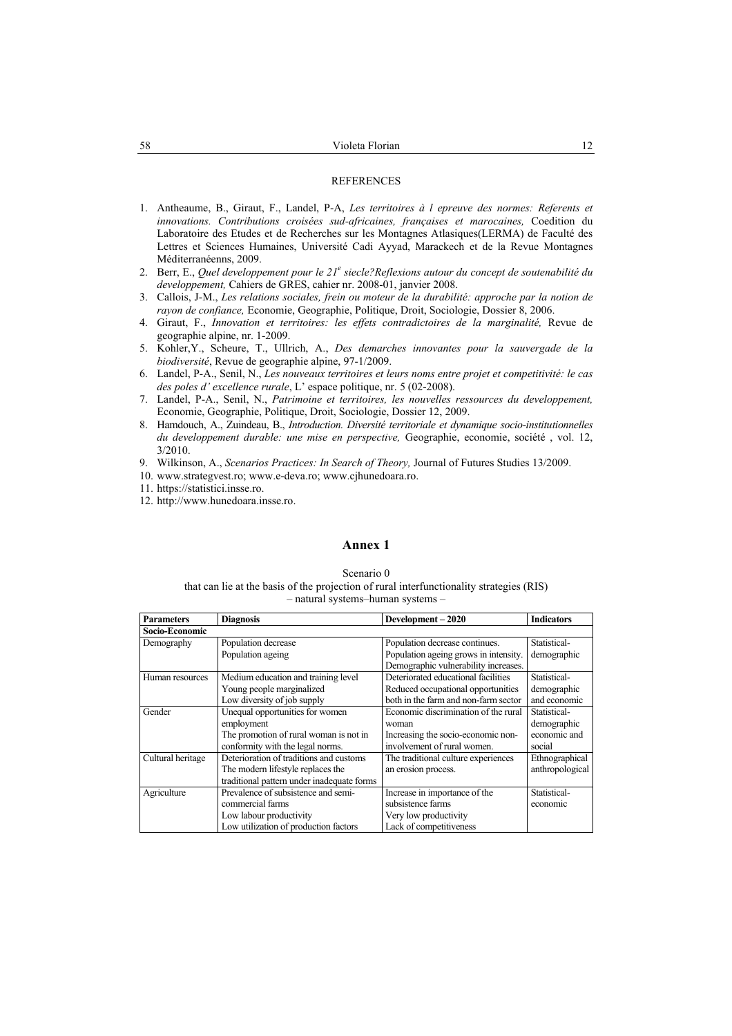### **REFERENCES**

- 1. Antheaume, B., Giraut, F., Landel, P-A, *Les territoires à l epreuve des normes: Referents et innovations. Contributions croisées sud-africaines, françaises et marocaines,* Coedition du Laboratoire des Etudes et de Recherches sur les Montagnes Atlasiques(LERMA) de Faculté des Lettres et Sciences Humaines, Université Cadi Ayyad, Marackech et de la Revue Montagnes Méditerranéenns, 2009.
- 2. Berr, E., Quel developpement pour le 21<sup>e</sup> siecle? Reflexions autour du concept de soutenabilité du *developpement,* Cahiers de GRES, cahier nr. 2008-01, janvier 2008.
- 3. Callois, J-M., *Les relations sociales, frein ou moteur de la durabilité: approche par la notion de rayon de confiance,* Economie, Geographie, Politique, Droit, Sociologie, Dossier 8, 2006.
- 4. Giraut, F., *Innovation et territoires: les effets contradictoires de la marginalité,* Revue de geographie alpine, nr. 1-2009.
- 5. Kohler,Y., Scheure, T., Ullrich, A., *Des demarches innovantes pour la sauvergade de la biodiversité*, Revue de geographie alpine, 97-1/2009.
- 6. Landel, P-A., Senil, N., *Les nouveaux territoires et leurs noms entre projet et competitivité: le cas des poles d' excellence rurale*, L' espace politique, nr. 5 (02-2008).
- 7. Landel, P-A., Senil, N., *Patrimoine et territoires, les nouvelles ressources du developpement,* Economie, Geographie, Politique, Droit, Sociologie, Dossier 12, 2009.
- 8. Hamdouch, A., Zuindeau, B., *Introduction. Diversité territoriale et dynamique socio-institutionnelles du developpement durable: une mise en perspective,* Geographie, economie, société , vol. 12, 3/2010.
- 9. Wilkinson, A., *Scenarios Practices: In Search of Theory,* Journal of Futures Studies 13/2009.
- 10. www.strategvest.ro; www.e-deva.ro; www.cjhunedoara.ro.
- 11. https://statistici.insse.ro.
- 12. http://www.hunedoara.insse.ro.

#### **Annex 1**

#### Scenario 0

that can lie at the basis of the projection of rural interfunctionality strategies (RIS) – natural systems–human systems –

| <b>Parameters</b> | <b>Diagnosis</b>                           | Development-2020                      | <b>Indicators</b> |
|-------------------|--------------------------------------------|---------------------------------------|-------------------|
| Socio-Economic    |                                            |                                       |                   |
| Demography        | Population decrease                        | Population decrease continues.        | Statistical-      |
|                   | Population ageing                          | Population ageing grows in intensity. | demographic       |
|                   |                                            | Demographic vulnerability increases.  |                   |
| Human resources   | Medium education and training level        | Deteriorated educational facilities   | Statistical-      |
|                   | Young people marginalized                  | Reduced occupational opportunities    | demographic       |
|                   | Low diversity of job supply                | both in the farm and non-farm sector  | and economic      |
| Gender            | Unequal opportunities for women            | Economic discrimination of the rural  | Statistical-      |
|                   | employment                                 | woman                                 | demographic       |
|                   | The promotion of rural woman is not in     | Increasing the socio-economic non-    | economic and      |
|                   | conformity with the legal norms.           | involvement of rural women.           | social            |
| Cultural heritage | Deterioration of traditions and customs    | The traditional culture experiences   | Ethnographical    |
|                   | The modern lifestyle replaces the          | an erosion process.                   | anthropological   |
|                   | traditional pattern under inadequate forms |                                       |                   |
| Agriculture       | Prevalence of subsistence and semi-        | Increase in importance of the         | Statistical-      |
|                   | commercial farms                           | subsistence farms                     | economic          |
|                   | Low labour productivity                    | Very low productivity                 |                   |
|                   | Low utilization of production factors      | Lack of competitiveness               |                   |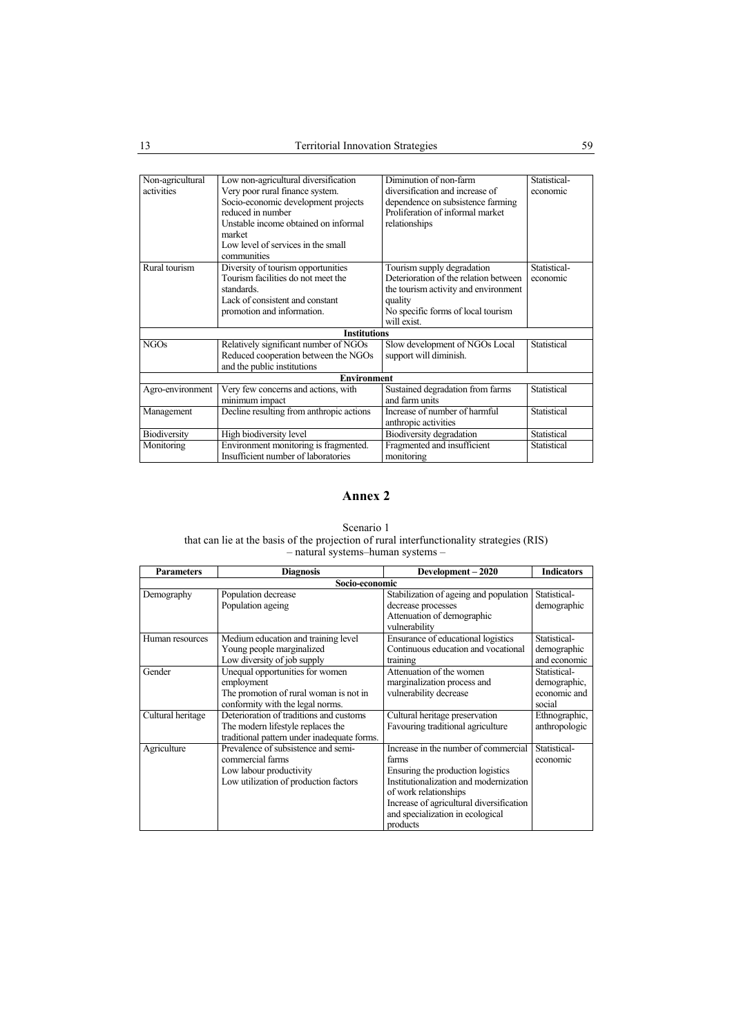|                  |                                          | Diminution of non-farm                | Statistical- |
|------------------|------------------------------------------|---------------------------------------|--------------|
| Non-agricultural | Low non-agricultural diversification     |                                       |              |
| activities       | Very poor rural finance system.          | diversification and increase of       | economic     |
|                  | Socio-economic development projects      | dependence on subsistence farming     |              |
|                  | reduced in number                        | Proliferation of informal market      |              |
|                  | Unstable income obtained on informal     | relationships                         |              |
|                  | market                                   |                                       |              |
|                  | Low level of services in the small       |                                       |              |
|                  | communities                              |                                       |              |
| Rural tourism    | Diversity of tourism opportunities       | Tourism supply degradation            | Statistical- |
|                  | Tourism facilities do not meet the       | Deterioration of the relation between | economic     |
|                  | standards                                | the tourism activity and environment  |              |
|                  | Lack of consistent and constant          | quality                               |              |
|                  | promotion and information.               | No specific forms of local tourism    |              |
|                  |                                          | will exist.                           |              |
|                  | <b>Institutions</b>                      |                                       |              |
| <b>NGOs</b>      | Relatively significant number of NGOs    | Slow development of NGOs Local        | Statistical  |
|                  | Reduced cooperation between the NGOs     | support will diminish.                |              |
|                  | and the public institutions              |                                       |              |
|                  | <b>Environment</b>                       |                                       |              |
| Agro-environment | Very few concerns and actions, with      | Sustained degradation from farms      | Statistical  |
|                  | minimum impact                           | and farm units                        |              |
| Management       | Decline resulting from anthropic actions | Increase of number of harmful         | Statistical  |
|                  |                                          | anthropic activities                  |              |
| Biodiversity     | High biodiversity level                  | Biodiversity degradation              | Statistical  |
| Monitoring       | Environment monitoring is fragmented.    | Fragmented and insufficient           | Statistical  |
|                  | Insufficient number of laboratories      | monitoring                            |              |
|                  |                                          |                                       |              |

# **Annex 2**

#### Scenario 1 that can lie at the basis of the projection of rural interfunctionality strategies (RIS) – natural systems–human systems –

| <b>Parameters</b> | <b>Diagnosis</b>                            | Development - 2020                       | <b>Indicators</b> |  |  |
|-------------------|---------------------------------------------|------------------------------------------|-------------------|--|--|
| Socio-economic    |                                             |                                          |                   |  |  |
| Demography        | Population decrease                         | Stabilization of ageing and population   | Statistical-      |  |  |
|                   | Population ageing                           | decrease processes                       | demographic       |  |  |
|                   |                                             | Attenuation of demographic               |                   |  |  |
|                   |                                             | vulnerability                            |                   |  |  |
| Human resources   | Medium education and training level         | Ensurance of educational logistics       | Statistical-      |  |  |
|                   | Young people marginalized                   | Continuous education and vocational      | demographic       |  |  |
|                   | Low diversity of job supply                 | training                                 | and economic      |  |  |
| Gender            | Unequal opportunities for women             | Attenuation of the women                 | Statistical-      |  |  |
|                   | employment                                  | marginalization process and              | demographic,      |  |  |
|                   | The promotion of rural woman is not in      | vulnerability decrease                   | economic and      |  |  |
|                   | conformity with the legal norms.            |                                          | social            |  |  |
| Cultural heritage | Deterioration of traditions and customs     | Cultural heritage preservation           | Ethnographic,     |  |  |
|                   | The modern lifestyle replaces the           | Favouring traditional agriculture        | anthropologic     |  |  |
|                   | traditional pattern under inadequate forms. |                                          |                   |  |  |
| Agriculture       | Prevalence of subsistence and semi-         | Increase in the number of commercial     | Statistical-      |  |  |
|                   | commercial farms                            | farms                                    | economic          |  |  |
|                   | Low labour productivity                     | Ensuring the production logistics        |                   |  |  |
|                   | Low utilization of production factors       | Institutionalization and modernization   |                   |  |  |
|                   |                                             | of work relationships                    |                   |  |  |
|                   |                                             | Increase of agricultural diversification |                   |  |  |
|                   |                                             | and specialization in ecological         |                   |  |  |
|                   |                                             | products                                 |                   |  |  |